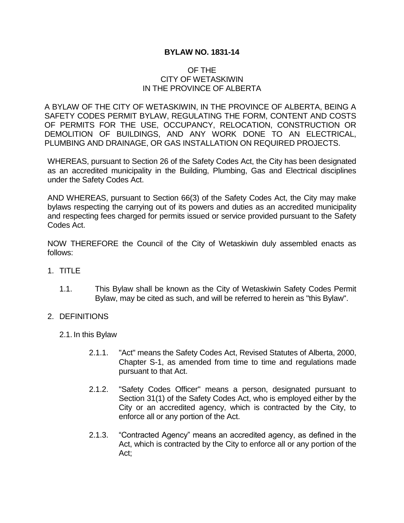### **BYLAW NO. 1831-14**

### OF THE CITY OF WETASKIWIN IN THE PROVINCE OF ALBERTA

A BYLAW OF THE CITY OF WETASKIWIN, IN THE PROVINCE OF ALBERTA, BEING A SAFETY CODES PERMIT BYLAW, REGULATING THE FORM, CONTENT AND COSTS OF PERMITS FOR THE USE, OCCUPANCY, RELOCATION, CONSTRUCTION OR DEMOLITION OF BUILDINGS, AND ANY WORK DONE TO AN ELECTRICAL, PLUMBING AND DRAINAGE, OR GAS INSTALLATION ON REQUIRED PROJECTS.

WHEREAS, pursuant to Section 26 of the Safety Codes Act, the City has been designated as an accredited municipality in the Building, Plumbing, Gas and Electrical disciplines under the Safety Codes Act.

AND WHEREAS, pursuant to Section 66(3) of the Safety Codes Act, the City may make bylaws respecting the carrying out of its powers and duties as an accredited municipality and respecting fees charged for permits issued or service provided pursuant to the Safety Codes Act.

NOW THEREFORE the Council of the City of Wetaskiwin duly assembled enacts as follows:

- 1. TITLE
	- 1.1. This Bylaw shall be known as the City of Wetaskiwin Safety Codes Permit Bylaw, may be cited as such, and will be referred to herein as "this Bylaw".

#### 2. DEFINITIONS

- 2.1. In this Bylaw
	- 2.1.1. "Act" means the Safety Codes Act, Revised Statutes of Alberta, 2000, Chapter S-1, as amended from time to time and regulations made pursuant to that Act.
	- 2.1.2. "Safety Codes Officer" means a person, designated pursuant to Section 31(1) of the Safety Codes Act, who is employed either by the City or an accredited agency, which is contracted by the City, to enforce all or any portion of the Act.
	- 2.1.3. "Contracted Agency" means an accredited agency, as defined in the Act, which is contracted by the City to enforce all or any portion of the Act;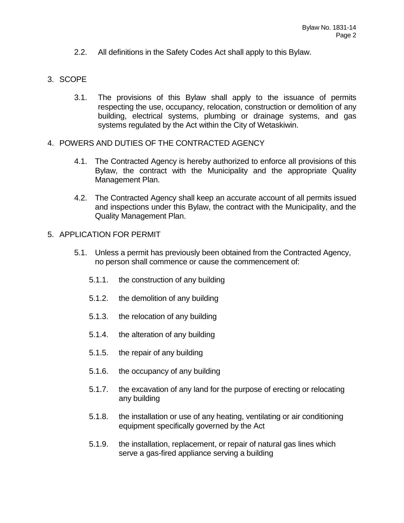2.2. All definitions in the Safety Codes Act shall apply to this Bylaw.

# 3. SCOPE

- 3.1. The provisions of this Bylaw shall apply to the issuance of permits respecting the use, occupancy, relocation, construction or demolition of any building, electrical systems, plumbing or drainage systems, and gas systems regulated by the Act within the City of Wetaskiwin.
- 4. POWERS AND DUTIES OF THE CONTRACTED AGENCY
	- 4.1. The Contracted Agency is hereby authorized to enforce all provisions of this Bylaw, the contract with the Municipality and the appropriate Quality Management Plan.
	- 4.2. The Contracted Agency shall keep an accurate account of all permits issued and inspections under this Bylaw, the contract with the Municipality, and the Quality Management Plan.
- 5. APPLICATION FOR PERMIT
	- 5.1. Unless a permit has previously been obtained from the Contracted Agency, no person shall commence or cause the commencement of:
		- 5.1.1. the construction of any building
		- 5.1.2. the demolition of any building
		- 5.1.3. the relocation of any building
		- 5.1.4. the alteration of any building
		- 5.1.5. the repair of any building
		- 5.1.6. the occupancy of any building
		- 5.1.7. the excavation of any land for the purpose of erecting or relocating any building
		- 5.1.8. the installation or use of any heating, ventilating or air conditioning equipment specifically governed by the Act
		- 5.1.9. the installation, replacement, or repair of natural gas lines which serve a gas-fired appliance serving a building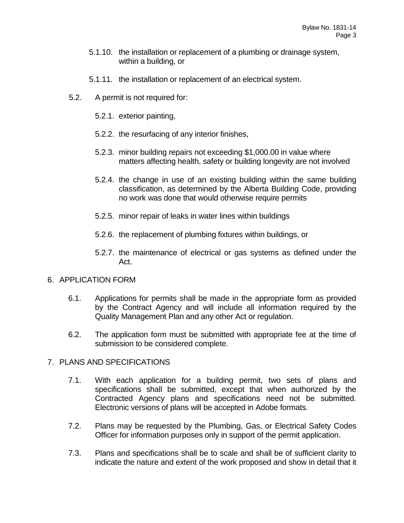- 5.1.10. the installation or replacement of a plumbing or drainage system, within a building, or
- 5.1.11. the installation or replacement of an electrical system.
- 5.2. A permit is not required for:
	- 5.2.1. exterior painting,
	- 5.2.2. the resurfacing of any interior finishes,
	- 5.2.3. minor building repairs not exceeding \$1,000.00 in value where matters affecting health, safety or building longevity are not involved
	- 5.2.4. the change in use of an existing building within the same building classification, as determined by the Alberta Building Code, providing no work was done that would otherwise require permits
	- 5.2.5. minor repair of leaks in water lines within buildings
	- 5.2.6. the replacement of plumbing fixtures within buildings, or
	- 5.2.7. the maintenance of electrical or gas systems as defined under the Act.

# 6. APPLICATION FORM

- 6.1. Applications for permits shall be made in the appropriate form as provided by the Contract Agency and will include all information required by the Quality Management Plan and any other Act or regulation.
- 6.2. The application form must be submitted with appropriate fee at the time of submission to be considered complete.

# 7. PLANS AND SPECIFICATIONS

- 7.1. With each application for a building permit, two sets of plans and specifications shall be submitted, except that when authorized by the Contracted Agency plans and specifications need not be submitted. Electronic versions of plans will be accepted in Adobe formats.
- 7.2. Plans may be requested by the Plumbing, Gas, or Electrical Safety Codes Officer for information purposes only in support of the permit application.
- 7.3. Plans and specifications shall be to scale and shall be of sufficient clarity to indicate the nature and extent of the work proposed and show in detail that it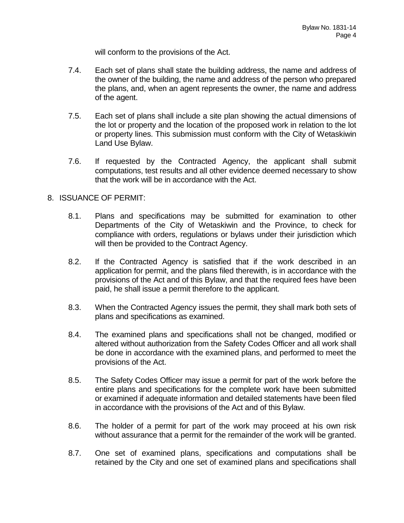will conform to the provisions of the Act.

- 7.4. Each set of plans shall state the building address, the name and address of the owner of the building, the name and address of the person who prepared the plans, and, when an agent represents the owner, the name and address of the agent.
- 7.5. Each set of plans shall include a site plan showing the actual dimensions of the lot or property and the location of the proposed work in relation to the lot or property lines. This submission must conform with the City of Wetaskiwin Land Use Bylaw.
- 7.6. If requested by the Contracted Agency, the applicant shall submit computations, test results and all other evidence deemed necessary to show that the work will be in accordance with the Act.

# 8. ISSUANCE OF PERMIT:

- 8.1. Plans and specifications may be submitted for examination to other Departments of the City of Wetaskiwin and the Province, to check for compliance with orders, regulations or bylaws under their jurisdiction which will then be provided to the Contract Agency.
- 8.2. If the Contracted Agency is satisfied that if the work described in an application for permit, and the plans filed therewith, is in accordance with the provisions of the Act and of this Bylaw, and that the required fees have been paid, he shall issue a permit therefore to the applicant.
- 8.3. When the Contracted Agency issues the permit, they shall mark both sets of plans and specifications as examined.
- 8.4. The examined plans and specifications shall not be changed, modified or altered without authorization from the Safety Codes Officer and all work shall be done in accordance with the examined plans, and performed to meet the provisions of the Act.
- 8.5. The Safety Codes Officer may issue a permit for part of the work before the entire plans and specifications for the complete work have been submitted or examined if adequate information and detailed statements have been filed in accordance with the provisions of the Act and of this Bylaw.
- 8.6. The holder of a permit for part of the work may proceed at his own risk without assurance that a permit for the remainder of the work will be granted.
- 8.7. One set of examined plans, specifications and computations shall be retained by the City and one set of examined plans and specifications shall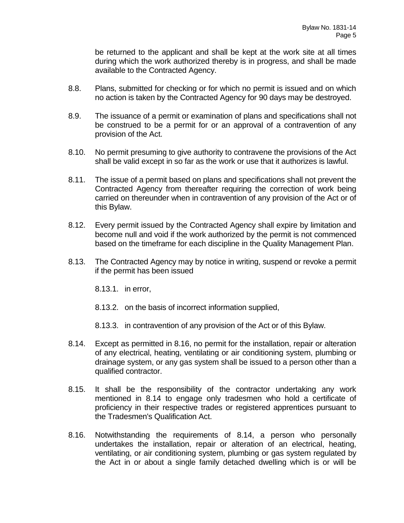be returned to the applicant and shall be kept at the work site at all times during which the work authorized thereby is in progress, and shall be made available to the Contracted Agency.

- 8.8. Plans, submitted for checking or for which no permit is issued and on which no action is taken by the Contracted Agency for 90 days may be destroyed.
- 8.9. The issuance of a permit or examination of plans and specifications shall not be construed to be a permit for or an approval of a contravention of any provision of the Act.
- 8.10. No permit presuming to give authority to contravene the provisions of the Act shall be valid except in so far as the work or use that it authorizes is lawful.
- 8.11. The issue of a permit based on plans and specifications shall not prevent the Contracted Agency from thereafter requiring the correction of work being carried on thereunder when in contravention of any provision of the Act or of this Bylaw.
- 8.12. Every permit issued by the Contracted Agency shall expire by limitation and become null and void if the work authorized by the permit is not commenced based on the timeframe for each discipline in the Quality Management Plan.
- 8.13. The Contracted Agency may by notice in writing, suspend or revoke a permit if the permit has been issued
	- 8.13.1. in error,
	- 8.13.2. on the basis of incorrect information supplied,
	- 8.13.3. in contravention of any provision of the Act or of this Bylaw.
- 8.14. Except as permitted in 8.16, no permit for the installation, repair or alteration of any electrical, heating, ventilating or air conditioning system, plumbing or drainage system, or any gas system shall be issued to a person other than a qualified contractor.
- 8.15. It shall be the responsibility of the contractor undertaking any work mentioned in 8.14 to engage only tradesmen who hold a certificate of proficiency in their respective trades or registered apprentices pursuant to the Tradesmen's Qualification Act.
- 8.16. Notwithstanding the requirements of 8.14, a person who personally undertakes the installation, repair or alteration of an electrical, heating, ventilating, or air conditioning system, plumbing or gas system regulated by the Act in or about a single family detached dwelling which is or will be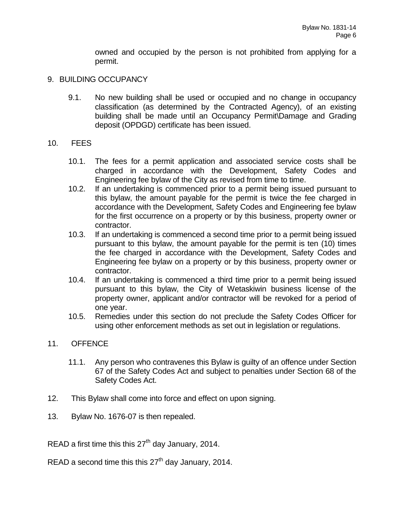owned and occupied by the person is not prohibited from applying for a permit.

### 9. BUILDING OCCUPANCY

9.1. No new building shall be used or occupied and no change in occupancy classification (as determined by the Contracted Agency), of an existing building shall be made until an Occupancy Permit\Damage and Grading deposit (OPDGD) certificate has been issued.

### 10. FEES

- 10.1. The fees for a permit application and associated service costs shall be charged in accordance with the Development, Safety Codes and Engineering fee bylaw of the City as revised from time to time.
- 10.2. If an undertaking is commenced prior to a permit being issued pursuant to this bylaw, the amount payable for the permit is twice the fee charged in accordance with the Development, Safety Codes and Engineering fee bylaw for the first occurrence on a property or by this business, property owner or contractor.
- 10.3. If an undertaking is commenced a second time prior to a permit being issued pursuant to this bylaw, the amount payable for the permit is ten (10) times the fee charged in accordance with the Development, Safety Codes and Engineering fee bylaw on a property or by this business, property owner or contractor.
- 10.4. If an undertaking is commenced a third time prior to a permit being issued pursuant to this bylaw, the City of Wetaskiwin business license of the property owner, applicant and/or contractor will be revoked for a period of one year.
- 10.5. Remedies under this section do not preclude the Safety Codes Officer for using other enforcement methods as set out in legislation or regulations.

#### 11. OFFENCE

- 11.1. Any person who contravenes this Bylaw is guilty of an offence under Section 67 of the Safety Codes Act and subject to penalties under Section 68 of the Safety Codes Act.
- 12. This Bylaw shall come into force and effect on upon signing.
- 13. Bylaw No. 1676-07 is then repealed.

READ a first time this this  $27<sup>th</sup>$  day January, 2014.

READ a second time this this  $27<sup>th</sup>$  day January, 2014.